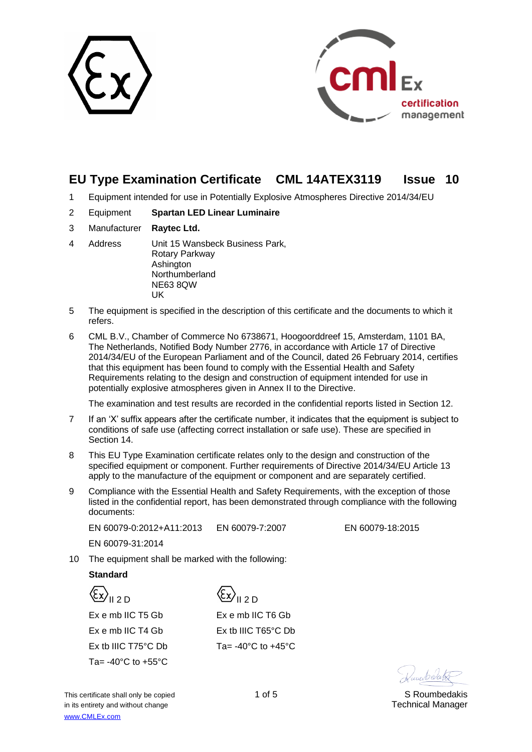



## **EU Type Examination Certificate CML 14ATEX3119 Issue 10**

- 1 Equipment intended for use in Potentially Explosive Atmospheres Directive 2014/34/EU
- 2 Equipment **Spartan LED Linear Luminaire**
- 3 Manufacturer **Raytec Ltd.**
- 4 Address Unit 15 Wansbeck Business Park, Rotary Parkway Ashington Northumberland NE63 8QW UK
- 5 The equipment is specified in the description of this certificate and the documents to which it refers.
- 6 CML B.V., Chamber of Commerce No 6738671, Hoogoorddreef 15, Amsterdam, 1101 BA, The Netherlands, Notified Body Number 2776, in accordance with Article 17 of Directive 2014/34/EU of the European Parliament and of the Council, dated 26 February 2014, certifies that this equipment has been found to comply with the Essential Health and Safety Requirements relating to the design and construction of equipment intended for use in potentially explosive atmospheres given in Annex II to the Directive.

The examination and test results are recorded in the confidential reports listed in Section 12.

- 7 If an 'X' suffix appears after the certificate number, it indicates that the equipment is subject to conditions of safe use (affecting correct installation or safe use). These are specified in Section 14.
- 8 This EU Type Examination certificate relates only to the design and construction of the specified equipment or component. Further requirements of Directive 2014/34/EU Article 13 apply to the manufacture of the equipment or component and are separately certified.
- 9 Compliance with the Essential Health and Safety Requirements, with the exception of those listed in the confidential report, has been demonstrated through compliance with the following documents:

EN 60079-0:2012+A11:2013 EN 60079-7:2007 EN 60079-18:2015

EN 60079-31:2014

10 The equipment shall be marked with the following:

## **Standard**

 $\langle \xi_x \rangle$ <sub>II 2 D</sub> Ex e mb IIC T5 Gb Ex e mb IIC T4 Gb Ex tb IIIC T75°C Db Ta= $-40^{\circ}$ C to  $+55^{\circ}$ C

{Ex}<sub>II 2 D</sub> Ex e mb IIC T6 Gb Ex tb IIIC T65°C Db Ta= $-40^{\circ}$ C to  $+45^{\circ}$ C

Danis Colates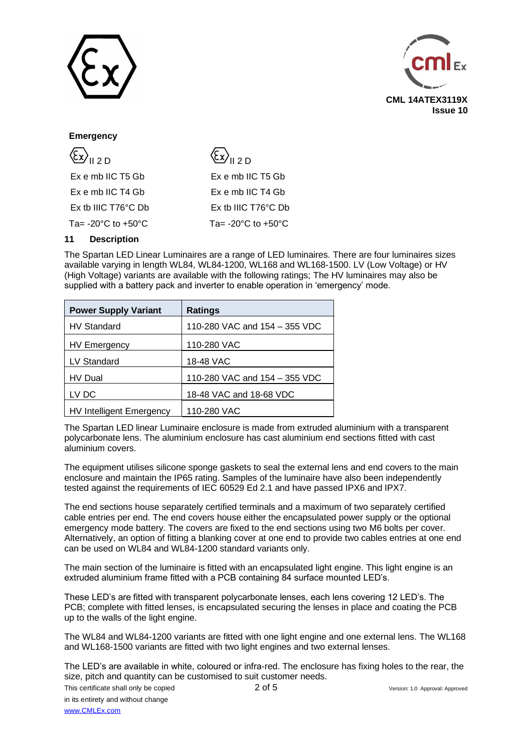



### **Emergency**

| $\langle \xi_{\text{X}} \rangle_{\text{II 2D}}$ | $\langle \xi_{\text{X}} \rangle_{\text{II 2D}}$ |
|-------------------------------------------------|-------------------------------------------------|
| Ex e mb IIC T5 Gb                               | Ex e mb IIC T5 Gb                               |
| Ex e mb IIC T4 Gb                               | Ex e mb IIC T4 Gb                               |
| Ex tb IIIC $T76^{\circ}$ C Db                   | Ex tb IIIC T76°C Db                             |
| Ta= $-20^{\circ}$ C to $+50^{\circ}$ C          | Ta= $-20^{\circ}$ C to $+50^{\circ}$ C          |

### **11 Description**

The Spartan LED Linear Luminaires are a range of LED luminaires. There are four luminaires sizes available varying in length WL84, WL84-1200, WL168 and WL168-1500. LV (Low Voltage) or HV (High Voltage) variants are available with the following ratings; The HV luminaires may also be supplied with a battery pack and inverter to enable operation in 'emergency' mode.

| <b>Power Supply Variant</b>     | <b>Ratings</b>                |
|---------------------------------|-------------------------------|
| <b>HV Standard</b>              | 110-280 VAC and 154 - 355 VDC |
| <b>HV Emergency</b>             | 110-280 VAC                   |
| LV Standard                     | 18-48 VAC                     |
| <b>HV Dual</b>                  | 110-280 VAC and 154 - 355 VDC |
| LV DC                           | 18-48 VAC and 18-68 VDC       |
| <b>HV Intelligent Emergency</b> | 110-280 VAC                   |

The Spartan LED linear Luminaire enclosure is made from extruded aluminium with a transparent polycarbonate lens. The aluminium enclosure has cast aluminium end sections fitted with cast aluminium covers.

The equipment utilises silicone sponge gaskets to seal the external lens and end covers to the main enclosure and maintain the IP65 rating. Samples of the luminaire have also been independently tested against the requirements of IEC 60529 Ed 2.1 and have passed IPX6 and IPX7.

The end sections house separately certified terminals and a maximum of two separately certified cable entries per end. The end covers house either the encapsulated power supply or the optional emergency mode battery. The covers are fixed to the end sections using two M6 bolts per cover. Alternatively, an option of fitting a blanking cover at one end to provide two cables entries at one end can be used on WL84 and WL84-1200 standard variants only.

The main section of the luminaire is fitted with an encapsulated light engine. This light engine is an extruded aluminium frame fitted with a PCB containing 84 surface mounted LED's.

These LED's are fitted with transparent polycarbonate lenses, each lens covering 12 LED's. The PCB; complete with fitted lenses, is encapsulated securing the lenses in place and coating the PCB up to the walls of the light engine.

The WL84 and WL84-1200 variants are fitted with one light engine and one external lens. The WL168 and WL168-1500 variants are fitted with two light engines and two external lenses.

The LED's are available in white, coloured or infra-red. The enclosure has fixing holes to the rear, the size, pitch and quantity can be customised to suit customer needs.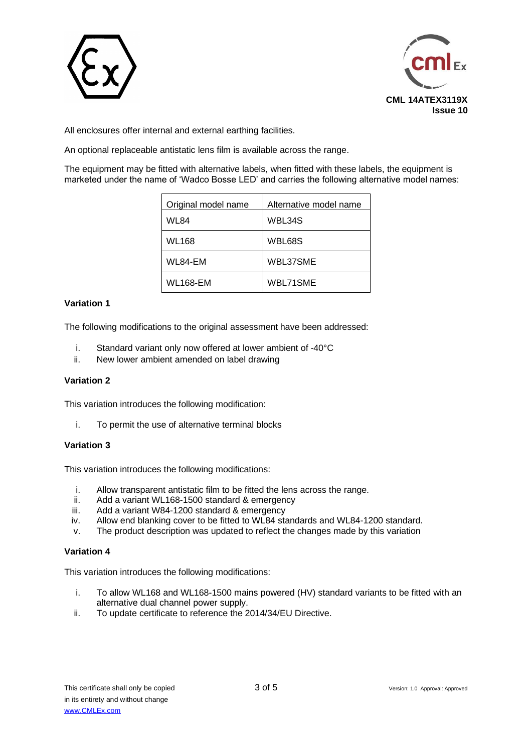



All enclosures offer internal and external earthing facilities.

An optional replaceable antistatic lens film is available across the range.

The equipment may be fitted with alternative labels, when fitted with these labels, the equipment is marketed under the name of 'Wadco Bosse LED' and carries the following alternative model names:

| Original model name | Alternative model name |
|---------------------|------------------------|
| WL84                | WBL34S                 |
| <b>WL168</b>        | WBL68S                 |
| WL84-EM             | WBL37SME               |
| WL168-EM            | WBL71SME               |

### **Variation 1**

The following modifications to the original assessment have been addressed:

- i. Standard variant only now offered at lower ambient of -40°C
- ii. New lower ambient amended on label drawing

### **Variation 2**

This variation introduces the following modification:

i. To permit the use of alternative terminal blocks

### **Variation 3**

This variation introduces the following modifications:

- i. Allow transparent antistatic film to be fitted the lens across the range.
- ii. Add a variant WL168-1500 standard & emergency
- iii. Add a variant W84-1200 standard & emergency
- iv. Allow end blanking cover to be fitted to WL84 standards and WL84-1200 standard.
- v. The product description was updated to reflect the changes made by this variation

### **Variation 4**

This variation introduces the following modifications:

- i. To allow WL168 and WL168-1500 mains powered (HV) standard variants to be fitted with an alternative dual channel power supply.
- ii. To update certificate to reference the 2014/34/EU Directive.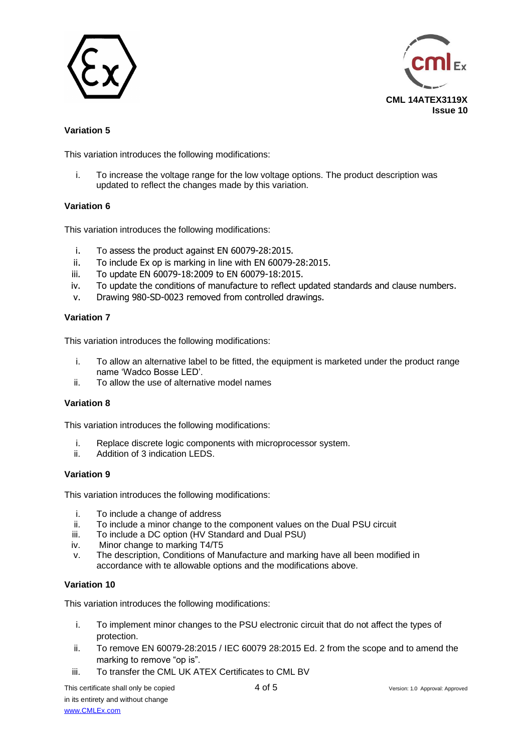



## **Variation 5**

This variation introduces the following modifications:

i. To increase the voltage range for the low voltage options. The product description was updated to reflect the changes made by this variation.

### **Variation 6**

This variation introduces the following modifications:

- i. To assess the product against EN 60079-28:2015.
- ii. To include Ex op is marking in line with EN 60079-28:2015.
- iii. To update EN 60079-18:2009 to EN 60079-18:2015.
- iv. To update the conditions of manufacture to reflect updated standards and clause numbers.
- v. Drawing 980-SD-0023 removed from controlled drawings.

### **Variation 7**

This variation introduces the following modifications:

- i. To allow an alternative label to be fitted, the equipment is marketed under the product range name 'Wadco Bosse LED'.
- ii. To allow the use of alternative model names

### **Variation 8**

This variation introduces the following modifications:

- i. Replace discrete logic components with microprocessor system.
- ii. Addition of 3 indication LEDS.

### **Variation 9**

This variation introduces the following modifications:

- i. To include a change of address
- ii. To include a minor change to the component values on the Dual PSU circuit
- iii. To include a DC option (HV Standard and Dual PSU)
- iv. Minor change to marking T4/T5
- v. The description, Conditions of Manufacture and marking have all been modified in accordance with te allowable options and the modifications above.

### **Variation 10**

This variation introduces the following modifications:

- i. To implement minor changes to the PSU electronic circuit that do not affect the types of protection.
- ii. To remove EN 60079-28:2015 / IEC 60079 28:2015 Ed. 2 from the scope and to amend the marking to remove "op is".
- iii. To transfer the CML UK ATEX Certificates to CML BV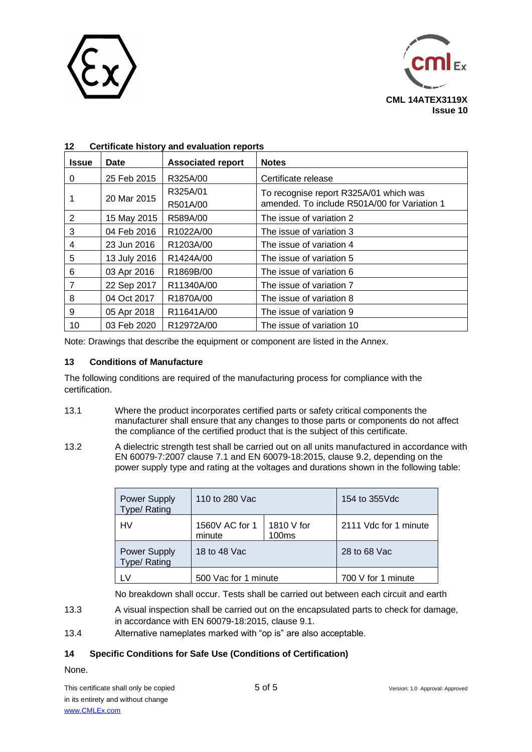



| <b>Issue</b> | <b>Date</b>  | <b>Associated report</b> | <b>Notes</b>                                 |
|--------------|--------------|--------------------------|----------------------------------------------|
| 0            | 25 Feb 2015  | R325A/00                 | Certificate release                          |
|              | 20 Mar 2015  | R325A/01                 | To recognise report R325A/01 which was       |
|              |              | R501A/00                 | amended. To include R501A/00 for Variation 1 |
| 2            | 15 May 2015  | R589A/00                 | The issue of variation 2                     |
| 3            | 04 Feb 2016  | R1022A/00                | The issue of variation 3                     |
| 4            | 23 Jun 2016  | R1203A/00                | The issue of variation 4                     |
| 5            | 13 July 2016 | R1424A/00                | The issue of variation 5                     |
| 6            | 03 Apr 2016  | R1869B/00                | The issue of variation 6                     |
| 7            | 22 Sep 2017  | R11340A/00               | The issue of variation 7                     |
| 8            | 04 Oct 2017  | R1870A/00                | The issue of variation 8                     |
| 9            | 05 Apr 2018  | R11641A/00               | The issue of variation 9                     |
| 10           | 03 Feb 2020  | R12972A/00               | The issue of variation 10                    |

## **12 Certificate history and evaluation reports**

Note: Drawings that describe the equipment or component are listed in the Annex.

### **13 Conditions of Manufacture**

The following conditions are required of the manufacturing process for compliance with the certification.

- 13.1 Where the product incorporates certified parts or safety critical components the manufacturer shall ensure that any changes to those parts or components do not affect the compliance of the certified product that is the subject of this certificate.
- 13.2 A dielectric strength test shall be carried out on all units manufactured in accordance with EN 60079-7:2007 clause 7.1 and EN 60079-18:2015, clause 9.2, depending on the power supply type and rating at the voltages and durations shown in the following table:

| Power Supply<br><b>Type/ Rating</b> | 110 to 280 Vac           |                                 | 154 to 355 Vdc        |
|-------------------------------------|--------------------------|---------------------------------|-----------------------|
| <b>HV</b>                           | 1560V AC for 1<br>minute | 1810 V for<br>100 <sub>ms</sub> | 2111 Vdc for 1 minute |
| Power Supply<br>Type/ Rating        | 18 to 48 Vac             |                                 | 28 to 68 Vac          |
| <b>LV</b>                           | 500 Vac for 1 minute     |                                 | 700 V for 1 minute    |

No breakdown shall occur. Tests shall be carried out between each circuit and earth

- 13.3 A visual inspection shall be carried out on the encapsulated parts to check for damage, in accordance with EN 60079-18:2015, clause 9.1.
- 13.4 Alternative nameplates marked with "op is" are also acceptable.

## **14 Specific Conditions for Safe Use (Conditions of Certification)**

None.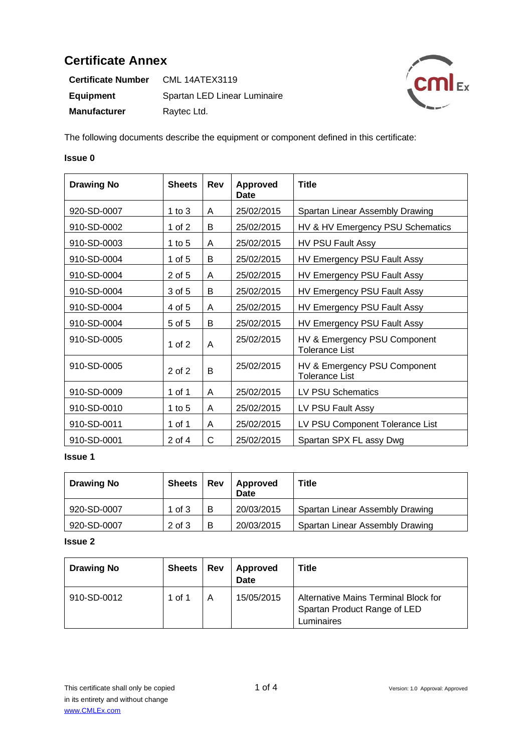| <b>Certificate Number</b> | <b>CML 14ATEX3119</b>        |
|---------------------------|------------------------------|
| <b>Equipment</b>          | Spartan LED Linear Luminaire |
| <b>Manufacturer</b>       | Raytec Ltd.                  |



The following documents describe the equipment or component defined in this certificate:

### **Issue 0**

| <b>Drawing No</b> | <b>Sheets</b> | Rev | <b>Approved</b><br>Date | <b>Title</b>                                          |
|-------------------|---------------|-----|-------------------------|-------------------------------------------------------|
| 920-SD-0007       | 1 to $3$      | A   | 25/02/2015              | Spartan Linear Assembly Drawing                       |
| 910-SD-0002       | 1 of 2        | B   | 25/02/2015              | HV & HV Emergency PSU Schematics                      |
| 910-SD-0003       | 1 to $5$      | A   | 25/02/2015              | HV PSU Fault Assy                                     |
| 910-SD-0004       | 1 of 5        | B   | 25/02/2015              | HV Emergency PSU Fault Assy                           |
| 910-SD-0004       | $2$ of 5      | A   | 25/02/2015              | HV Emergency PSU Fault Assy                           |
| 910-SD-0004       | 3 of 5        | B   | 25/02/2015              | HV Emergency PSU Fault Assy                           |
| 910-SD-0004       | 4 of 5        | A   | 25/02/2015              | HV Emergency PSU Fault Assy                           |
| 910-SD-0004       | $5$ of $5$    | B   | 25/02/2015              | HV Emergency PSU Fault Assy                           |
| 910-SD-0005       | 1 of $2$      | A   | 25/02/2015              | HV & Emergency PSU Component<br><b>Tolerance List</b> |
| 910-SD-0005       | $2$ of $2$    | B   | 25/02/2015              | HV & Emergency PSU Component<br><b>Tolerance List</b> |
| 910-SD-0009       | 1 of 1        | A   | 25/02/2015              | LV PSU Schematics                                     |
| 910-SD-0010       | 1 to $5$      | A   | 25/02/2015              | LV PSU Fault Assy                                     |
| 910-SD-0011       | 1 of 1        | A   | 25/02/2015              | LV PSU Component Tolerance List                       |
| 910-SD-0001       | 2 of 4        | С   | 25/02/2015              | Spartan SPX FL assy Dwg                               |

## **Issue 1**

| <b>Drawing No</b> | <b>Sheets</b> | Rev | Approved<br>Date | <b>Title</b>                    |
|-------------------|---------------|-----|------------------|---------------------------------|
| 920-SD-0007       | 1 of $3$      | в   | 20/03/2015       | Spartan Linear Assembly Drawing |
| 920-SD-0007       | $2$ of $3$    | B   | 20/03/2015       | Spartan Linear Assembly Drawing |

| <b>Drawing No</b> | <b>Sheets</b> | Rev | Approved<br><b>Date</b> | Title                                                                              |
|-------------------|---------------|-----|-------------------------|------------------------------------------------------------------------------------|
| 910-SD-0012       | 1 of 1        |     | 15/05/2015              | Alternative Mains Terminal Block for<br>Spartan Product Range of LED<br>Luminaires |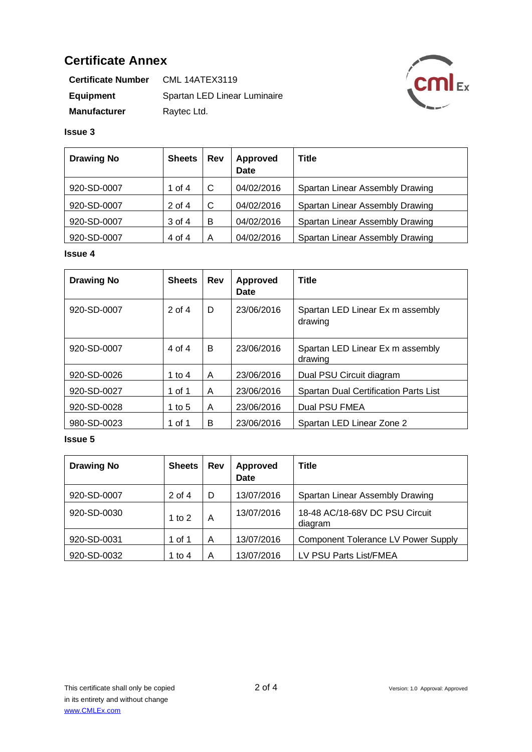| <b>Certificate Number</b> | <b>CML 14ATEX3119</b>        |
|---------------------------|------------------------------|
| Equipment                 | Spartan LED Linear Luminaire |
| <b>Manufacturer</b>       | Raytec Ltd.                  |



## **Issue 3**

| <b>Drawing No</b> | <b>Sheets</b> | Rev | <b>Approved</b><br><b>Date</b> | <b>Title</b>                    |
|-------------------|---------------|-----|--------------------------------|---------------------------------|
| 920-SD-0007       | 1 of 4        | C   | 04/02/2016                     | Spartan Linear Assembly Drawing |
| 920-SD-0007       | $2$ of 4      | C   | 04/02/2016                     | Spartan Linear Assembly Drawing |
| 920-SD-0007       | 3 of 4        | в   | 04/02/2016                     | Spartan Linear Assembly Drawing |
| 920-SD-0007       | 4 of 4        | A   | 04/02/2016                     | Spartan Linear Assembly Drawing |

## **Issue 4**

| <b>Drawing No</b> | <b>Sheets</b> | Rev | <b>Approved</b><br>Date | <b>Title</b>                                 |
|-------------------|---------------|-----|-------------------------|----------------------------------------------|
| 920-SD-0007       | $2$ of $4$    | D   | 23/06/2016              | Spartan LED Linear Ex m assembly<br>drawing  |
| 920-SD-0007       | 4 of 4        | B   | 23/06/2016              | Spartan LED Linear Ex m assembly<br>drawing  |
| 920-SD-0026       | 1 to 4        | A   | 23/06/2016              | Dual PSU Circuit diagram                     |
| 920-SD-0027       | 1 of 1        | A   | 23/06/2016              | <b>Spartan Dual Certification Parts List</b> |
| 920-SD-0028       | 1 to $5$      | A   | 23/06/2016              | Dual PSU FMEA                                |
| 980-SD-0023       | 1 of 1        | B   | 23/06/2016              | Spartan LED Linear Zone 2                    |

| <b>Drawing No</b> | <b>Sheets</b> | <b>Rev</b> | Approved<br>Date | <b>Title</b>                              |
|-------------------|---------------|------------|------------------|-------------------------------------------|
| 920-SD-0007       | 2 of 4        | D          | 13/07/2016       | Spartan Linear Assembly Drawing           |
| 920-SD-0030       | 1 to $2$      | Α          | 13/07/2016       | 18-48 AC/18-68V DC PSU Circuit<br>diagram |
| 920-SD-0031       | 1 of 1        | A          | 13/07/2016       | Component Tolerance LV Power Supply       |
| 920-SD-0032       | 1 to 4        | Α          | 13/07/2016       | LV PSU Parts List/FMEA                    |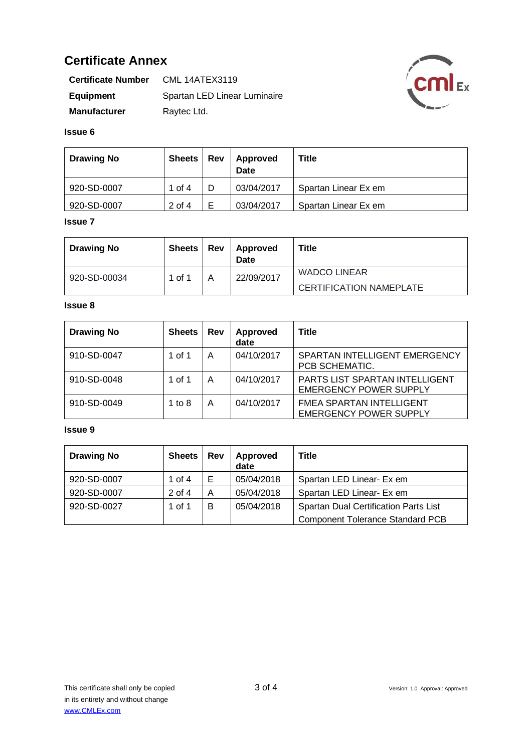| <b>Certificate Number</b> | <b>CML 14ATEX3119</b>        |  |  |
|---------------------------|------------------------------|--|--|
| Equipment                 | Spartan LED Linear Luminaire |  |  |
| <b>Manufacturer</b>       | Raytec Ltd.                  |  |  |



#### **Issue 6**

| <b>Drawing No</b> | <b>Sheets</b> | <b>Rev</b> | Approved<br><b>Date</b> | <b>Title</b>         |
|-------------------|---------------|------------|-------------------------|----------------------|
| 920-SD-0007       | 1 of 4        |            | 03/04/2017              | Spartan Linear Ex em |
| 920-SD-0007       | 2 of 4        | E          | 03/04/2017              | Spartan Linear Ex em |

## **Issue 7**

| <b>Drawing No</b> | Sheets | Rev | Approved<br>Date | Title                          |
|-------------------|--------|-----|------------------|--------------------------------|
| 920-SD-00034      | 1 of 1 |     | 22/09/2017       | <b>WADCO LINEAR</b>            |
|                   |        |     |                  | <b>CERTIFICATION NAMEPLATE</b> |

## **Issue 8**

| <b>Drawing No</b> | <b>Sheets</b> | Rev | Approved<br>date | <b>Title</b>                                                           |
|-------------------|---------------|-----|------------------|------------------------------------------------------------------------|
| 910-SD-0047       | 1 of 1        | A   | 04/10/2017       | SPARTAN INTELLIGENT EMERGENCY<br>PCB SCHEMATIC.                        |
| 910-SD-0048       | 1 of 1        | A   | 04/10/2017       | <b>PARTS LIST SPARTAN INTELLIGENT</b><br><b>EMERGENCY POWER SUPPLY</b> |
| 910-SD-0049       | 1 to $8$      | Α   | 04/10/2017       | <b>FMEA SPARTAN INTELLIGENT</b><br><b>EMERGENCY POWER SUPPLY</b>       |

| <b>Drawing No</b> | <b>Sheets</b> | Rev | Approved<br>date | <b>Title</b>                            |
|-------------------|---------------|-----|------------------|-----------------------------------------|
| 920-SD-0007       | 1 of 4        |     | 05/04/2018       | Spartan LED Linear- Ex em               |
| 920-SD-0007       | $2$ of 4      | A   | 05/04/2018       | Spartan LED Linear- Ex em               |
| 920-SD-0027       | 1 of 1        | B   | 05/04/2018       | Spartan Dual Certification Parts List   |
|                   |               |     |                  | <b>Component Tolerance Standard PCB</b> |